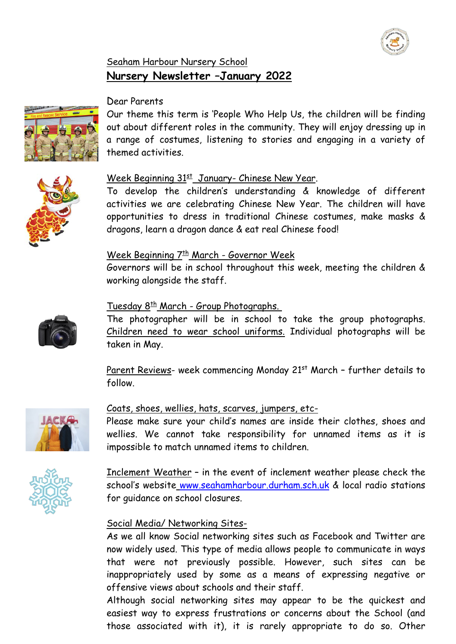

## Seaham Harbour Nursery School **Nursery Newsletter –January 2022**



Our theme this term is 'People Who Help Us, the children will be finding out about different roles in the community. They will enjoy dressing up in a range of costumes, listening to stories and engaging in a variety of themed activities.



### Week Beginning 31<sup>st</sup> January- Chinese New Year.

To develop the children's understanding & knowledge of different activities we are celebrating Chinese New Year. The children will have opportunities to dress in traditional Chinese costumes, make masks & dragons, learn a dragon dance & eat real Chinese food!

### Week Beginning 7<sup>th</sup> March - Governor Week

Governors will be in school throughout this week, meeting the children & working alongside the staff.



### Tuesday 8<sup>th</sup> March - Group Photographs.

The photographer will be in school to take the group photographs. Children need to wear school uniforms. Individual photographs will be taken in May.

Parent Reviews- week commencing Monday 21<sup>st</sup> March - further details to follow.



### Coats, shoes, wellies, hats, scarves, jumpers, etc-

Please make sure your child's names are inside their clothes, shoes and wellies. We cannot take responsibility for unnamed items as it is impossible to match unnamed items to children.



Inclement Weather – in the event of inclement weather please check the school's website [www.seahamharbour.durham.sch.uk](http://www.seahamharbour.durham.sch.uk/) & local radio stations for guidance on school closures.

# Social Media/ Networking Sites-

As we all know Social networking sites such as Facebook and Twitter are now widely used. This type of media allows people to communicate in ways that were not previously possible. However, such sites can be inappropriately used by some as a means of expressing negative or offensive views about schools and their staff.

Although social networking sites may appear to be the quickest and easiest way to express frustrations or concerns about the School (and those associated with it), it is rarely appropriate to do so. Other